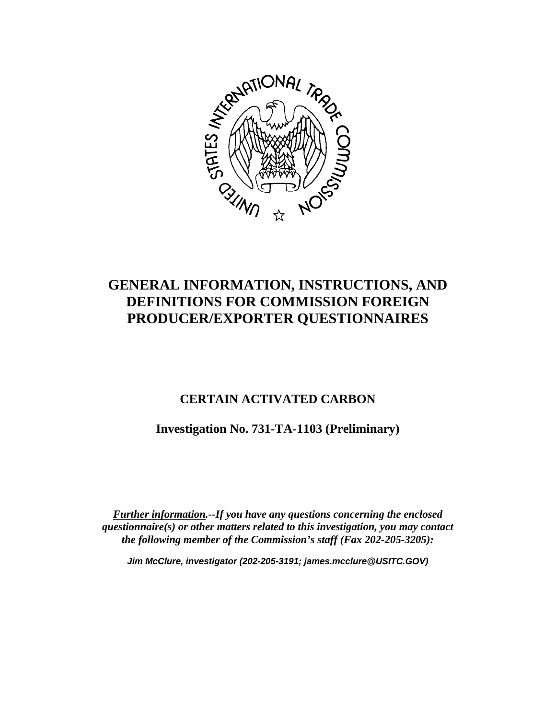

# **GENERAL INFORMATION, INSTRUCTIONS, AND DEFINITIONS FOR COMMISSION FOREIGN PRODUCER/EXPORTER QUESTIONNAIRES**

## **CERTAIN ACTIVATED CARBON**

**Investigation No. 731-TA-1103 (Preliminary)**

*Further information.--If you have any questions concerning the enclosed questionnaire(s) or other matters related to this investigation, you may contact the following member of the Commission's staff (Fax 202-205-3205):*

*Jim McClure, investigator (202-205-3191; james.mcclure@USITC.GOV)*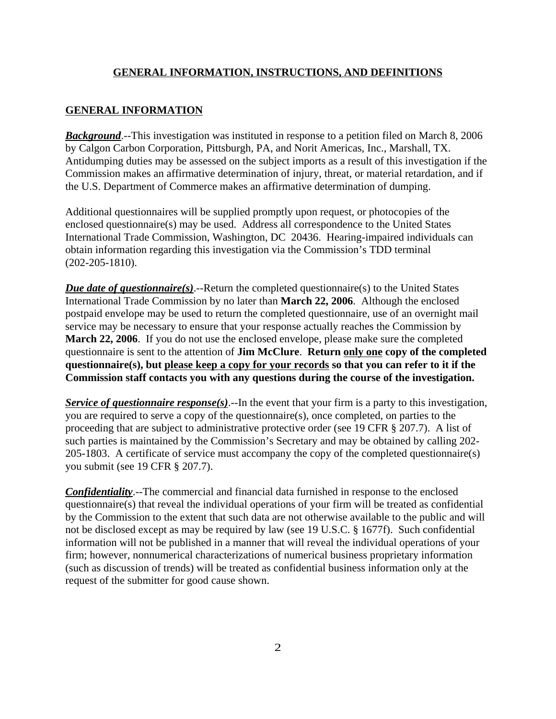### **GENERAL INFORMATION**

*Background*.--This investigation was instituted in response to a petition filed on March 8, 2006 by Calgon Carbon Corporation, Pittsburgh, PA, and Norit Americas, Inc., Marshall, TX. Antidumping duties may be assessed on the subject imports as a result of this investigation if the Commission makes an affirmative determination of injury, threat, or material retardation, and if the U.S. Department of Commerce makes an affirmative determination of dumping.

Additional questionnaires will be supplied promptly upon request, or photocopies of the enclosed questionnaire(s) may be used. Address all correspondence to the United States International Trade Commission, Washington, DC 20436. Hearing-impaired individuals can obtain information regarding this investigation via the Commission's TDD terminal (202-205-1810).

*Due date of questionnaire(s)*.--Return the completed questionnaire(s) to the United States International Trade Commission by no later than **March 22, 2006**. Although the enclosed postpaid envelope may be used to return the completed questionnaire, use of an overnight mail service may be necessary to ensure that your response actually reaches the Commission by **March 22, 2006**. If you do not use the enclosed envelope, please make sure the completed questionnaire is sent to the attention of **Jim McClure**. **Return only one copy of the completed questionnaire(s), but please keep a copy for your records so that you can refer to it if the Commission staff contacts you with any questions during the course of the investigation.**

*Service of questionnaire response(s)*.--In the event that your firm is a party to this investigation, you are required to serve a copy of the questionnaire(s), once completed, on parties to the proceeding that are subject to administrative protective order (see 19 CFR § 207.7). A list of such parties is maintained by the Commission's Secretary and may be obtained by calling 202- 205-1803. A certificate of service must accompany the copy of the completed questionnaire(s) you submit (see 19 CFR § 207.7).

*Confidentiality*.--The commercial and financial data furnished in response to the enclosed questionnaire(s) that reveal the individual operations of your firm will be treated as confidential by the Commission to the extent that such data are not otherwise available to the public and will not be disclosed except as may be required by law (see 19 U.S.C. § 1677f). Such confidential information will not be published in a manner that will reveal the individual operations of your firm; however, nonnumerical characterizations of numerical business proprietary information (such as discussion of trends) will be treated as confidential business information only at the request of the submitter for good cause shown.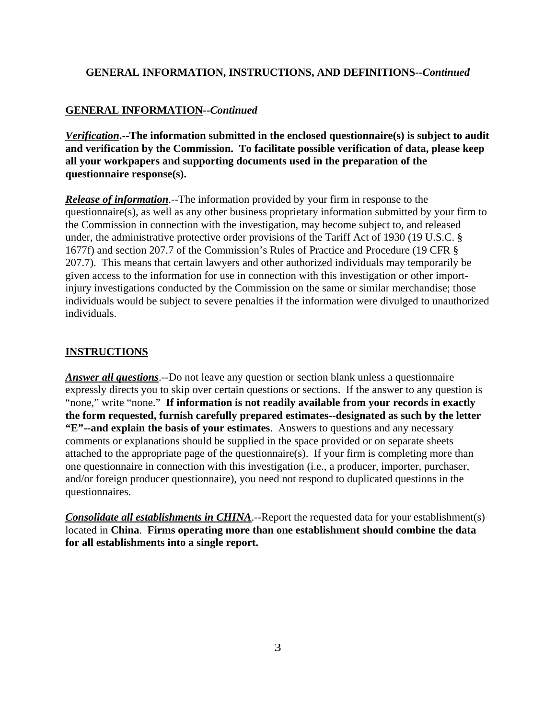### **GENERAL INFORMATION--***Continued*

*Verification***.--The information submitted in the enclosed questionnaire(s) is subject to audit and verification by the Commission. To facilitate possible verification of data, please keep all your workpapers and supporting documents used in the preparation of the questionnaire response(s).**

*Release of information*.--The information provided by your firm in response to the questionnaire(s), as well as any other business proprietary information submitted by your firm to the Commission in connection with the investigation, may become subject to, and released under, the administrative protective order provisions of the Tariff Act of 1930 (19 U.S.C. § 1677f) and section 207.7 of the Commission's Rules of Practice and Procedure (19 CFR § 207.7). This means that certain lawyers and other authorized individuals may temporarily be given access to the information for use in connection with this investigation or other importinjury investigations conducted by the Commission on the same or similar merchandise; those individuals would be subject to severe penalties if the information were divulged to unauthorized individuals.

### **INSTRUCTIONS**

*Answer all questions*.--Do not leave any question or section blank unless a questionnaire expressly directs you to skip over certain questions or sections. If the answer to any question is "none," write "none." **If information is not readily available from your records in exactly the form requested, furnish carefully prepared estimates--designated as such by the letter "E"--and explain the basis of your estimates**. Answers to questions and any necessary comments or explanations should be supplied in the space provided or on separate sheets attached to the appropriate page of the questionnaire(s). If your firm is completing more than one questionnaire in connection with this investigation (i.e., a producer, importer, purchaser, and/or foreign producer questionnaire), you need not respond to duplicated questions in the questionnaires.

*Consolidate all establishments in CHINA*.--Report the requested data for your establishment(s) located in **China**. **Firms operating more than one establishment should combine the data for all establishments into a single report.**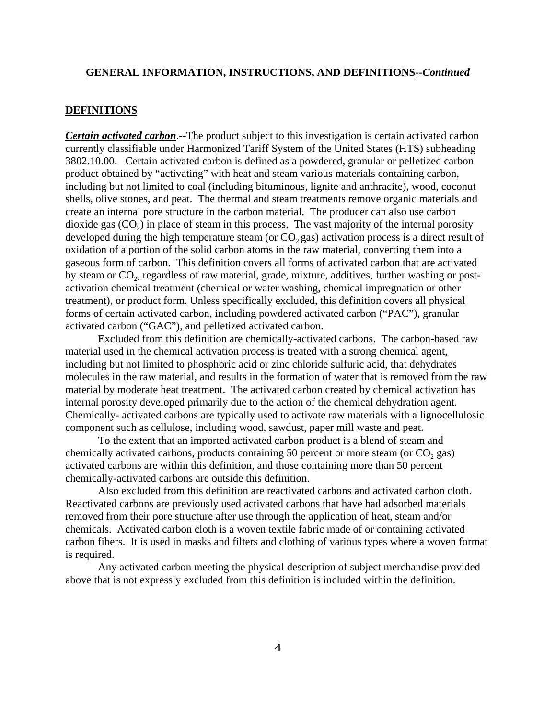#### **DEFINITIONS**

*Certain activated carbon*.--The product subject to this investigation is certain activated carbon currently classifiable under Harmonized Tariff System of the United States (HTS) subheading 3802.10.00. Certain activated carbon is defined as a powdered, granular or pelletized carbon product obtained by "activating" with heat and steam various materials containing carbon, including but not limited to coal (including bituminous, lignite and anthracite), wood, coconut shells, olive stones, and peat. The thermal and steam treatments remove organic materials and create an internal pore structure in the carbon material. The producer can also use carbon dioxide gas  $(CO<sub>2</sub>)$  in place of steam in this process. The vast majority of the internal porosity developed during the high temperature steam (or  $CO_2$  gas) activation process is a direct result of oxidation of a portion of the solid carbon atoms in the raw material, converting them into a gaseous form of carbon. This definition covers all forms of activated carbon that are activated by steam or CO<sub>2</sub>, regardless of raw material, grade, mixture, additives, further washing or postactivation chemical treatment (chemical or water washing, chemical impregnation or other treatment), or product form. Unless specifically excluded, this definition covers all physical forms of certain activated carbon, including powdered activated carbon ("PAC"), granular activated carbon ("GAC"), and pelletized activated carbon.

Excluded from this definition are chemically-activated carbons. The carbon-based raw material used in the chemical activation process is treated with a strong chemical agent, including but not limited to phosphoric acid or zinc chloride sulfuric acid, that dehydrates molecules in the raw material, and results in the formation of water that is removed from the raw material by moderate heat treatment. The activated carbon created by chemical activation has internal porosity developed primarily due to the action of the chemical dehydration agent. Chemically- activated carbons are typically used to activate raw materials with a lignocellulosic component such as cellulose, including wood, sawdust, paper mill waste and peat.

To the extent that an imported activated carbon product is a blend of steam and chemically activated carbons, products containing 50 percent or more steam (or  $CO<sub>2</sub>$  gas) activated carbons are within this definition, and those containing more than 50 percent chemically-activated carbons are outside this definition.

Also excluded from this definition are reactivated carbons and activated carbon cloth. Reactivated carbons are previously used activated carbons that have had adsorbed materials removed from their pore structure after use through the application of heat, steam and/or chemicals. Activated carbon cloth is a woven textile fabric made of or containing activated carbon fibers. It is used in masks and filters and clothing of various types where a woven format is required.

Any activated carbon meeting the physical description of subject merchandise provided above that is not expressly excluded from this definition is included within the definition.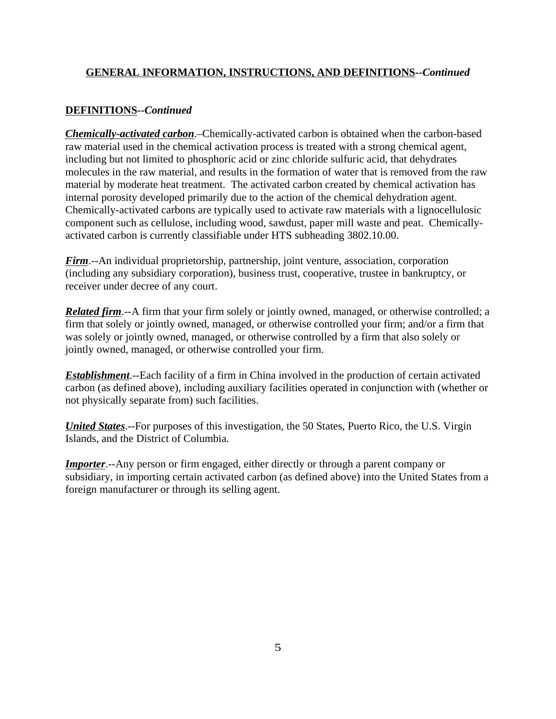### **DEFINITIONS--***Continued*

*Chemically-activated carbon*.–Chemically-activated carbon is obtained when the carbon-based raw material used in the chemical activation process is treated with a strong chemical agent, including but not limited to phosphoric acid or zinc chloride sulfuric acid, that dehydrates molecules in the raw material, and results in the formation of water that is removed from the raw material by moderate heat treatment. The activated carbon created by chemical activation has internal porosity developed primarily due to the action of the chemical dehydration agent. Chemically-activated carbons are typically used to activate raw materials with a lignocellulosic component such as cellulose, including wood, sawdust, paper mill waste and peat. Chemicallyactivated carbon is currently classifiable under HTS subheading 3802.10.00.

*Firm*.--An individual proprietorship, partnership, joint venture, association, corporation (including any subsidiary corporation), business trust, cooperative, trustee in bankruptcy, or receiver under decree of any court.

*Related firm*.--A firm that your firm solely or jointly owned, managed, or otherwise controlled; a firm that solely or jointly owned, managed, or otherwise controlled your firm; and/or a firm that was solely or jointly owned, managed, or otherwise controlled by a firm that also solely or jointly owned, managed, or otherwise controlled your firm.

*Establishment*.--Each facility of a firm in China involved in the production of certain activated carbon (as defined above), including auxiliary facilities operated in conjunction with (whether or not physically separate from) such facilities.

*United States*.--For purposes of this investigation, the 50 States, Puerto Rico, the U.S. Virgin Islands, and the District of Columbia.

*Importer*.--Any person or firm engaged, either directly or through a parent company or subsidiary, in importing certain activated carbon (as defined above) into the United States from a foreign manufacturer or through its selling agent.